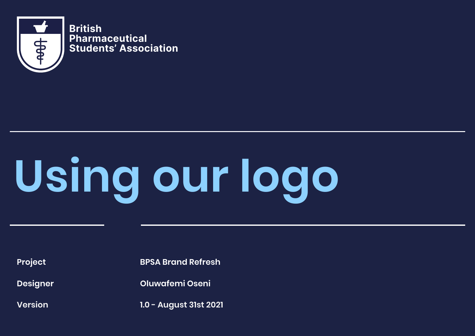

**British Pharmaceutical Students' Association**

# **Using our logo**

**Designer**

**Version** 

**Project BPSA Brand Refresh**

**Oluwafemi Oseni**

**1.0 - August 31st 2021**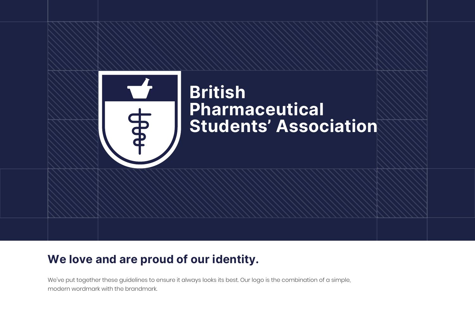

# **British Pharmaceutical Students' Association**

## **We love and are proud of our identity.**

We've put together these guidelines to ensure it always looks its best. Our logo is the combination of a simple, modern wordmark with the brandmark.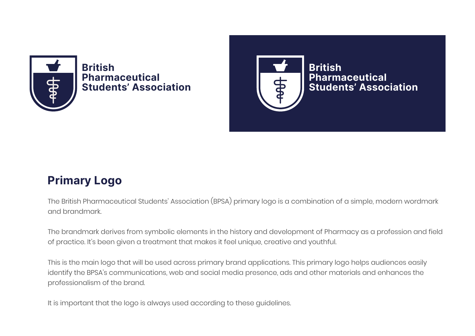

**British Pharmaceutical Students' Association**



**Pharmaceutical Students' Association**

## **Primary Logo**

The British Pharmaceutical Students' Association (BPSA) primary logo is a combination of a simple, modern wordmark and brandmark.

The brandmark derives from symbolic elements in the history and development of Pharmacy as a profession and field of practice. It's been given a treatment that makes it feel unique, creative and youthful.

This is the main logo that will be used across primary brand applications. This primary logo helps audiences easily identify the BPSA's communications, web and social media presence, ads and other materials and enhances the professionalism of the brand.

It is important that the logo is always used according to these guidelines.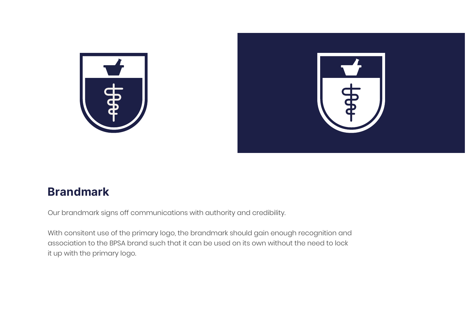



## **Brandmark**

Our brandmark signs off communications with authority and credibility.

With consitent use of the primary logo, the brandmark should gain enough recognition and association to the BPSA brand such that it can be used on its own without the need to lock it up with the primary logo.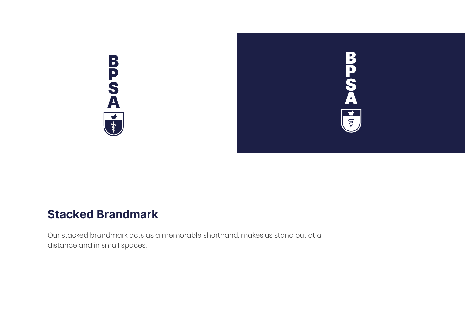

Our stacked brandmark acts as a memorable shorthand, makes us stand out at a distance and in small spaces.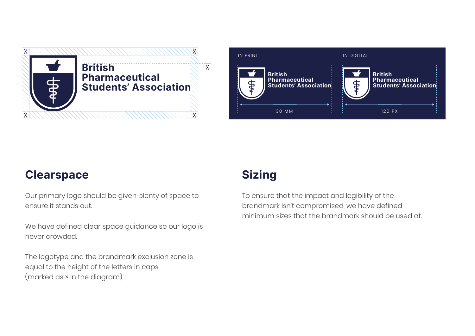



## **Clearspace**

Our primary logo should be given plenty of space to ensure it stands out.

We have defined clear space guidance so our logo is never crowded.

The logotype and the brandmark exclusion zone is equal to the height of the letters in caps (marked as × in the diagram).

## **Sizing**

To ensure that the impact and legibility of the brandmark isn't compromised, we have defined minimum sizes that the brandmark should be used at.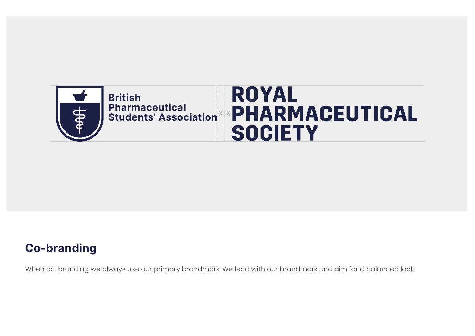

## **Co-branding**

When co-branding we always use our primary brandmark. We lead with our brandmark and aim for a balanced look.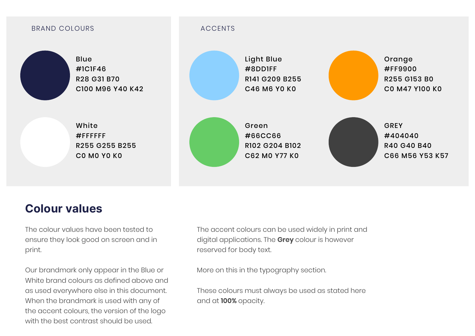

## **Colour values**

The colour values have been tested to ensure they look good on screen and in print.

Our brandmark only appear in the Blue or White brand colours as defined above and as used everywhere else in this document. When the brandmark is used with any of the accent colours, the version of the logo with the best contrast should be used.

The accent colours can be used widely in print and digital applications. The **Grey** colour is however reserved for body text.

More on this in the typography section.

These colours must always be used as stated here and at **100%** opacity.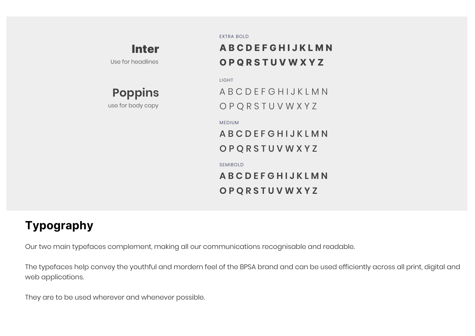## Inter

Use for headlines

**Poppins**

use for body copy

EXTRA BOLD

## **A B C D E F G H I J K L M N O P Q R S T U V W X Y Z**

LIGHT

A B C D E F G H I J K L M N O P Q R S T U V W X Y Z

#### MEDIUM

A B C D E F G H I J K L M N O P Q R S T U V W X Y Z

#### SEMIBOLD

**A B C D E F G H I J K L M N O P Q R S T U V W X Y Z**

## **Typography**

Our two main typefaces complement, making all our communications recognisable and readable.

The typefaces help convey the youthful and mordern feel of the BPSA brand and can be used efficiently across all print, digital and web applications.

They are to be used wherever and whenever possible.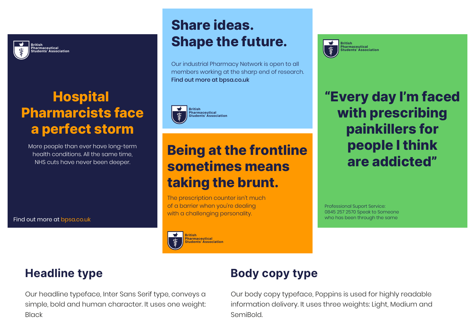

# **Hospital Pharmarcists face a perfect storm**

More people than ever have long-term health conditions. All the same time, NHS cuts have never been deeper.

Find out more at bpsa.co.uk

# **Share ideas. Shape the future.**

Our industrial Pharmacy Network is open to all members working at the sharp end of research. Find out more at bpsa.co.uk



# **Being at the frontline sometimes means taking the brunt.**

The prescription counter isn't much of a barrier when you're dealing with a challenging personality.

#### **British Pharmaceutical Students' Association**



**Pharmaceutical Students' Association**

**"Every day I'm faced with prescribing painkillers for people I think are addicted"**

Professional Suport Service: 0845 257 2570 Speak to Someone who has been through the same

## **Headline type**

Our headline typeface, Inter Sans Serif type, conveys a simple, bold and human character. It uses one weight: **Black** 

## **Body copy type**

Our body copy typeface, Poppins is used for highly readable information delivery. It uses three weights: Light, Medium and SemiBold.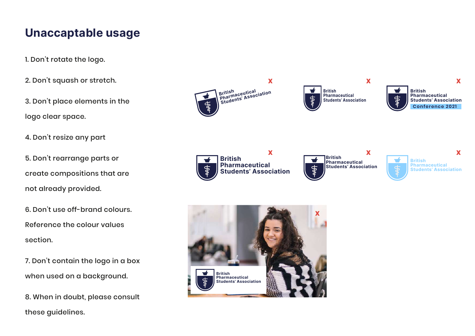## **Unaccaptable usage**

- 1. Don't rotate the logo.
- 2. Don't squash or stretch.
- 3. Don't place elements in the logo clear space.
- 4. Don't resize any part
- 5. Don't rearrange parts or create compositions that are not already provided.
- 6. Don't use off-brand colours. Reference the colour values section.
- 7. Don't contain the logo in a box when used on a background.
- 8. When in doubt, please consult these guidelines.